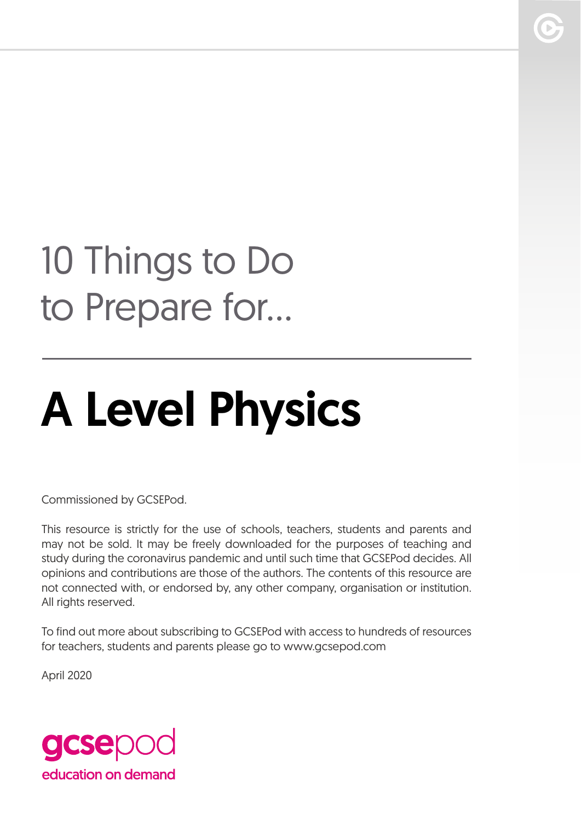## 10 Things to Do to Prepare for...

# A Level Physics

Commissioned by GCSEPod.

This resource is strictly for the use of schools, teachers, students and parents and may not be sold. It may be freely downloaded for the purposes of teaching and study during the coronavirus pandemic and until such time that GCSEPod decides. All opinions and contributions are those of the authors. The contents of this resource are not connected with, or endorsed by, any other company, organisation or institution. All rights reserved.

To find out more about subscribing to GCSEPod with access to hundreds of resources for teachers, students and parents please go to www.gcsepod.com

April 2020

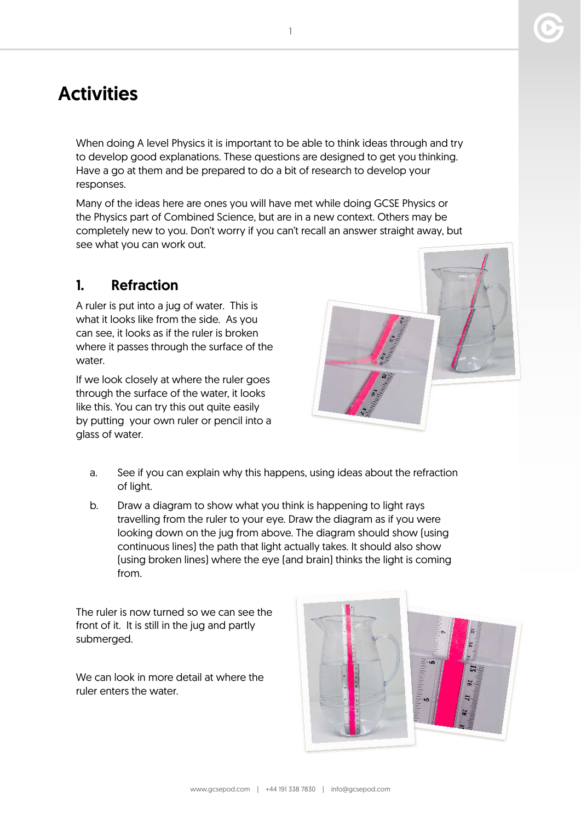### **Activities**

When doing A level Physics it is important to be able to think ideas through and try to develop good explanations. These questions are designed to get you thinking. Have a go at them and be prepared to do a bit of research to develop your responses.

Many of the ideas here are ones you will have met while doing GCSE Physics or the Physics part of Combined Science, but are in a new context. Others may be completely new to you. Don't worry if you can't recall an answer straight away, but see what you can work out.

#### 1. Refraction

A ruler is put into a jug of water. This is what it looks like from the side. As you can see, it looks as if the ruler is broken where it passes through the surface of the water.

If we look closely at where the ruler goes through the surface of the water, it looks like this. You can try this out quite easily by putting your own ruler or pencil into a glass of water.

- a. See if you can explain why this happens, using ideas about the refraction of light.
- b. Draw a diagram to show what you think is happening to light rays travelling from the ruler to your eye. Draw the diagram as if you were looking down on the jug from above. The diagram should show (using continuous lines) the path that light actually takes. It should also show (using broken lines) where the eye (and brain) thinks the light is coming from.

The ruler is now turned so we can see the front of it. It is still in the jug and partly submerged.

We can look in more detail at where the ruler enters the water.

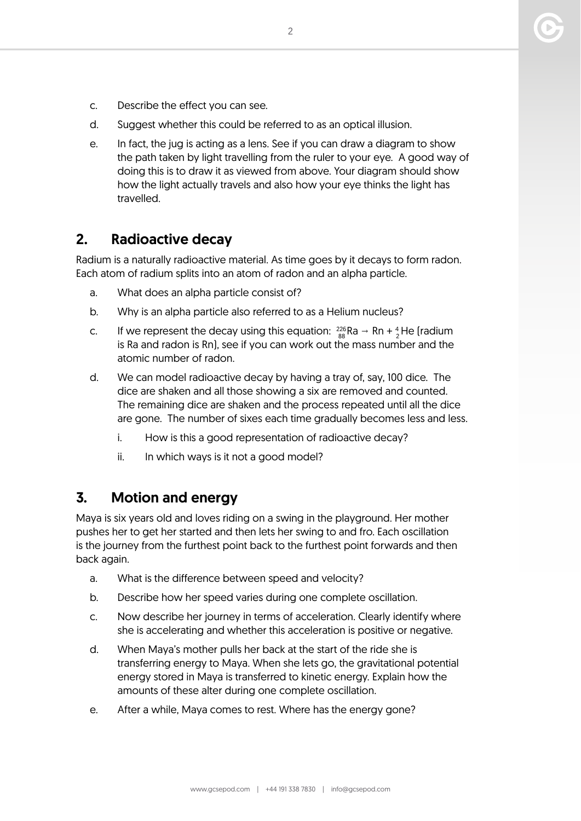- c. Describe the effect you can see.
- d. Suggest whether this could be referred to as an optical illusion.
- e. In fact, the jug is acting as a lens. See if you can draw a diagram to show the path taken by light travelling from the ruler to your eye. A good way of doing this is to draw it as viewed from above. Your diagram should show how the light actually travels and also how your eye thinks the light has travelled.

#### 2. Radioactive decay

Radium is a naturally radioactive material. As time goes by it decays to form radon. Each atom of radium splits into an atom of radon and an alpha particle.

- a. What does an alpha particle consist of?
- b. Why is an alpha particle also referred to as a Helium nucleus?
- c. If we represent the decay using this equation:  $\frac{226}{88}Ra \rightarrow Rn + \frac{4}{2}He$  [radium is Ra and radon is Rn), see if you can work out the mass number and the atomic number of radon.
- d. We can model radioactive decay by having a tray of, say, 100 dice. The dice are shaken and all those showing a six are removed and counted. The remaining dice are shaken and the process repeated until all the dice are gone. The number of sixes each time gradually becomes less and less.
	- i. How is this a good representation of radioactive decay?
	- ii. In which ways is it not a good model?

#### 3. Motion and energy

Maya is six years old and loves riding on a swing in the playground. Her mother pushes her to get her started and then lets her swing to and fro. Each oscillation is the journey from the furthest point back to the furthest point forwards and then back again.

- a. What is the difference between speed and velocity?
- b. Describe how her speed varies during one complete oscillation.
- c. Now describe her journey in terms of acceleration. Clearly identify where she is accelerating and whether this acceleration is positive or negative.
- d. When Maya's mother pulls her back at the start of the ride she is transferring energy to Maya. When she lets go, the gravitational potential energy stored in Maya is transferred to kinetic energy. Explain how the amounts of these alter during one complete oscillation.
- e. After a while, Maya comes to rest. Where has the energy gone?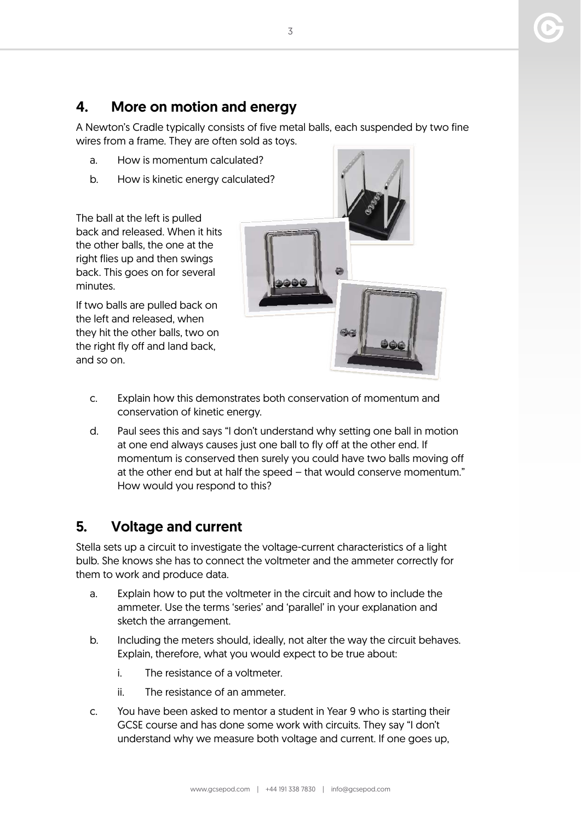#### 4. More on motion and energy

A Newton's Cradle typically consists of five metal balls, each suspended by two fine wires from a frame. They are often sold as toys.

- a. How is momentum calculated?
- b. How is kinetic energy calculated?

The ball at the left is pulled back and released. When it hits the other balls, the one at the right flies up and then swings back. This goes on for several minutes.

If two balls are pulled back on the left and released, when they hit the other balls, two on the right fly off and land back, and so on.



- c. Explain how this demonstrates both conservation of momentum and conservation of kinetic energy.
- d. Paul sees this and says "I don't understand why setting one ball in motion at one end always causes just one ball to fly off at the other end. If momentum is conserved then surely you could have two balls moving off at the other end but at half the speed – that would conserve momentum." How would you respond to this?

#### 5. Voltage and current

Stella sets up a circuit to investigate the voltage-current characteristics of a light bulb. She knows she has to connect the voltmeter and the ammeter correctly for them to work and produce data.

- a. Explain how to put the voltmeter in the circuit and how to include the ammeter. Use the terms 'series' and 'parallel' in your explanation and sketch the arrangement.
- b. Including the meters should, ideally, not alter the way the circuit behaves. Explain, therefore, what you would expect to be true about:
	- i. The resistance of a voltmeter.
	- ii. The resistance of an ammeter.
- c. You have been asked to mentor a student in Year 9 who is starting their GCSE course and has done some work with circuits. They say "I don't understand why we measure both voltage and current. If one goes up,

3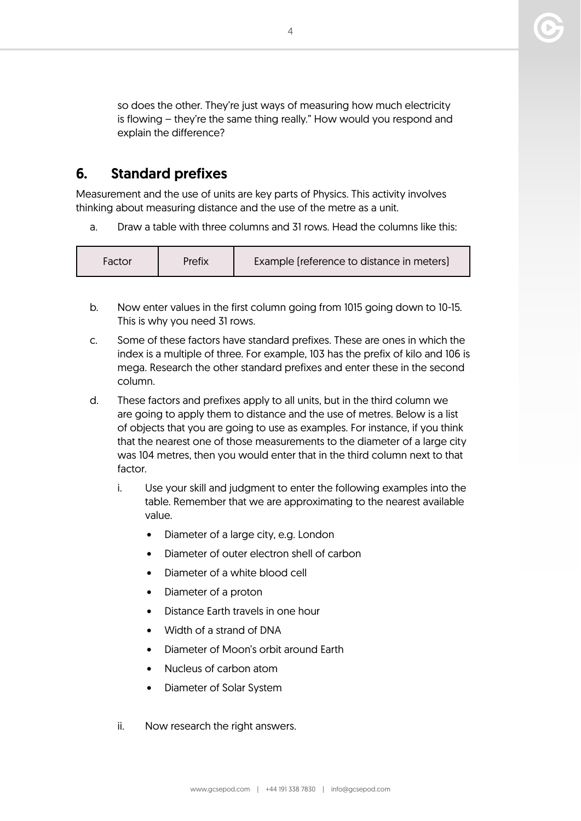so does the other. They're just ways of measuring how much electricity is flowing – they're the same thing really." How would you respond and explain the difference?

#### 6. Standard prefixes

Measurement and the use of units are key parts of Physics. This activity involves thinking about measuring distance and the use of the metre as a unit.

a. Draw a table with three columns and 31 rows. Head the columns like this:

| Prefix<br>Factor | Example (reference to distance in meters) |
|------------------|-------------------------------------------|
|------------------|-------------------------------------------|

- b. Now enter values in the first column going from 1015 going down to 10-15. This is why you need 31 rows.
- c. Some of these factors have standard prefixes. These are ones in which the index is a multiple of three. For example, 103 has the prefix of kilo and 106 is mega. Research the other standard prefixes and enter these in the second column.
- d. These factors and prefixes apply to all units, but in the third column we are going to apply them to distance and the use of metres. Below is a list of objects that you are going to use as examples. For instance, if you think that the nearest one of those measurements to the diameter of a large city was 104 metres, then you would enter that in the third column next to that factor.
	- i. Use your skill and judgment to enter the following examples into the table. Remember that we are approximating to the nearest available value.
		- Diameter of a large city, e.g. London
		- Diameter of outer electron shell of carbon
		- Diameter of a white blood cell
		- Diameter of a proton
		- Distance Earth travels in one hour
		- Width of a strand of DNA
		- Diameter of Moon's orbit around Earth
		- Nucleus of carbon atom
		- Diameter of Solar System
	- ii. Now research the right answers.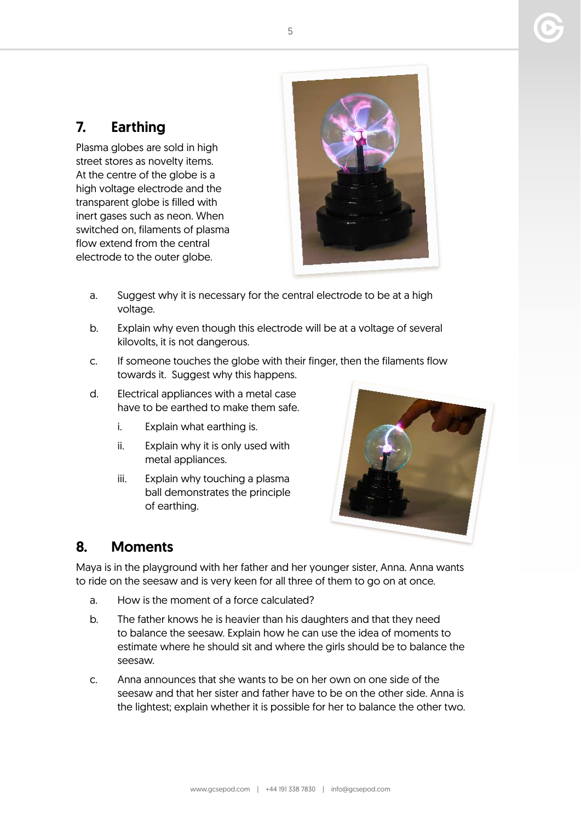#### 7. Earthing

Plasma globes are sold in high street stores as novelty items. At the centre of the globe is a high voltage electrode and the transparent globe is filled with inert gases such as neon. When switched on, filaments of plasma flow extend from the central electrode to the outer globe.



- a. Suggest why it is necessary for the central electrode to be at a high voltage.
- b. Explain why even though this electrode will be at a voltage of several kilovolts, it is not dangerous.
- c. If someone touches the globe with their finger, then the filaments flow towards it. Suggest why this happens.
- d. Electrical appliances with a metal case have to be earthed to make them safe.
	- i. Explain what earthing is.
	- ii. Explain why it is only used with metal appliances.
	- iii. Explain why touching a plasma ball demonstrates the principle of earthing.



#### 8. Moments

Maya is in the playground with her father and her younger sister, Anna. Anna wants to ride on the seesaw and is very keen for all three of them to go on at once.

- a. How is the moment of a force calculated?
- b. The father knows he is heavier than his daughters and that they need to balance the seesaw. Explain how he can use the idea of moments to estimate where he should sit and where the girls should be to balance the seesaw.
- c. Anna announces that she wants to be on her own on one side of the seesaw and that her sister and father have to be on the other side. Anna is the lightest; explain whether it is possible for her to balance the other two.